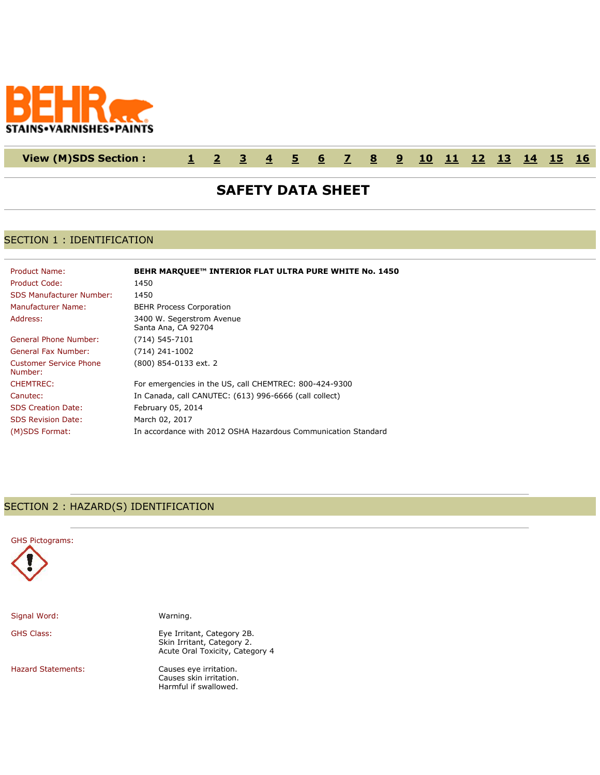

## **View (M)SDS Section : [1](http://www.actiocms.com/VIEW_MSDS/AuthorDisplay_V402/msdsdisplaycode_author_new_MASTER.cfm?edit_msds_id=203898&dbname=production&Hide_Section_Numbers=N&formatcode=7&language=1&noprint_label_fax_email=N#section1) [2](http://www.actiocms.com/VIEW_MSDS/AuthorDisplay_V402/msdsdisplaycode_author_new_MASTER.cfm?edit_msds_id=203898&dbname=production&Hide_Section_Numbers=N&formatcode=7&language=1&noprint_label_fax_email=N#section2) [3](http://www.actiocms.com/VIEW_MSDS/AuthorDisplay_V402/msdsdisplaycode_author_new_MASTER.cfm?edit_msds_id=203898&dbname=production&Hide_Section_Numbers=N&formatcode=7&language=1&noprint_label_fax_email=N#section3) [4](http://www.actiocms.com/VIEW_MSDS/AuthorDisplay_V402/msdsdisplaycode_author_new_MASTER.cfm?edit_msds_id=203898&dbname=production&Hide_Section_Numbers=N&formatcode=7&language=1&noprint_label_fax_email=N#section4) [5](http://www.actiocms.com/VIEW_MSDS/AuthorDisplay_V402/msdsdisplaycode_author_new_MASTER.cfm?edit_msds_id=203898&dbname=production&Hide_Section_Numbers=N&formatcode=7&language=1&noprint_label_fax_email=N#section5) [6](http://www.actiocms.com/VIEW_MSDS/AuthorDisplay_V402/msdsdisplaycode_author_new_MASTER.cfm?edit_msds_id=203898&dbname=production&Hide_Section_Numbers=N&formatcode=7&language=1&noprint_label_fax_email=N#section6) [7](http://www.actiocms.com/VIEW_MSDS/AuthorDisplay_V402/msdsdisplaycode_author_new_MASTER.cfm?edit_msds_id=203898&dbname=production&Hide_Section_Numbers=N&formatcode=7&language=1&noprint_label_fax_email=N#section7) [8](http://www.actiocms.com/VIEW_MSDS/AuthorDisplay_V402/msdsdisplaycode_author_new_MASTER.cfm?edit_msds_id=203898&dbname=production&Hide_Section_Numbers=N&formatcode=7&language=1&noprint_label_fax_email=N#section8) [9](http://www.actiocms.com/VIEW_MSDS/AuthorDisplay_V402/msdsdisplaycode_author_new_MASTER.cfm?edit_msds_id=203898&dbname=production&Hide_Section_Numbers=N&formatcode=7&language=1&noprint_label_fax_email=N#section9) [10](http://www.actiocms.com/VIEW_MSDS/AuthorDisplay_V402/msdsdisplaycode_author_new_MASTER.cfm?edit_msds_id=203898&dbname=production&Hide_Section_Numbers=N&formatcode=7&language=1&noprint_label_fax_email=N#section10) [11](http://www.actiocms.com/VIEW_MSDS/AuthorDisplay_V402/msdsdisplaycode_author_new_MASTER.cfm?edit_msds_id=203898&dbname=production&Hide_Section_Numbers=N&formatcode=7&language=1&noprint_label_fax_email=N#section11) [12](http://www.actiocms.com/VIEW_MSDS/AuthorDisplay_V402/msdsdisplaycode_author_new_MASTER.cfm?edit_msds_id=203898&dbname=production&Hide_Section_Numbers=N&formatcode=7&language=1&noprint_label_fax_email=N#section12) [13](http://www.actiocms.com/VIEW_MSDS/AuthorDisplay_V402/msdsdisplaycode_author_new_MASTER.cfm?edit_msds_id=203898&dbname=production&Hide_Section_Numbers=N&formatcode=7&language=1&noprint_label_fax_email=N#section13) [14](http://www.actiocms.com/VIEW_MSDS/AuthorDisplay_V402/msdsdisplaycode_author_new_MASTER.cfm?edit_msds_id=203898&dbname=production&Hide_Section_Numbers=N&formatcode=7&language=1&noprint_label_fax_email=N#section14) [15](http://www.actiocms.com/VIEW_MSDS/AuthorDisplay_V402/msdsdisplaycode_author_new_MASTER.cfm?edit_msds_id=203898&dbname=production&Hide_Section_Numbers=N&formatcode=7&language=1&noprint_label_fax_email=N#section15) [16](http://www.actiocms.com/VIEW_MSDS/AuthorDisplay_V402/msdsdisplaycode_author_new_MASTER.cfm?edit_msds_id=203898&dbname=production&Hide_Section_Numbers=N&formatcode=7&language=1&noprint_label_fax_email=N#section16)**

# **SAFETY DATA SHEET**

## SECTION 1 : IDENTIFICATION

| Product Name:                     | BEHR MARQUEE™ INTERIOR FLAT ULTRA PURE WHITE No. 1450         |
|-----------------------------------|---------------------------------------------------------------|
| Product Code:                     | 1450                                                          |
| <b>SDS Manufacturer Number:</b>   | 1450                                                          |
| Manufacturer Name:                | <b>BEHR Process Corporation</b>                               |
| Address:                          | 3400 W. Segerstrom Avenue<br>Santa Ana, CA 92704              |
| General Phone Number:             | (714) 545-7101                                                |
| <b>General Fax Number:</b>        | $(714)$ 241-1002                                              |
| Customer Service Phone<br>Number: | (800) 854-0133 ext. 2                                         |
| <b>CHEMTREC:</b>                  | For emergencies in the US, call CHEMTREC: 800-424-9300        |
| Canutec:                          | In Canada, call CANUTEC: (613) 996-6666 (call collect)        |
| <b>SDS Creation Date:</b>         | February 05, 2014                                             |
| <b>SDS Revision Date:</b>         | March 02, 2017                                                |
| (M)SDS Format:                    | In accordance with 2012 OSHA Hazardous Communication Standard |

#### SECTION 2 : HAZARD(S) IDENTIFICATION



Signal Word: Warning.

GHS Class: Eye Irritant, Category 2B. Skin Irritant, Category 2. Acute Oral Toxicity, Category 4

Hazard Statements: Causes eye irritation. Causes skin irritation. Harmful if swallowed.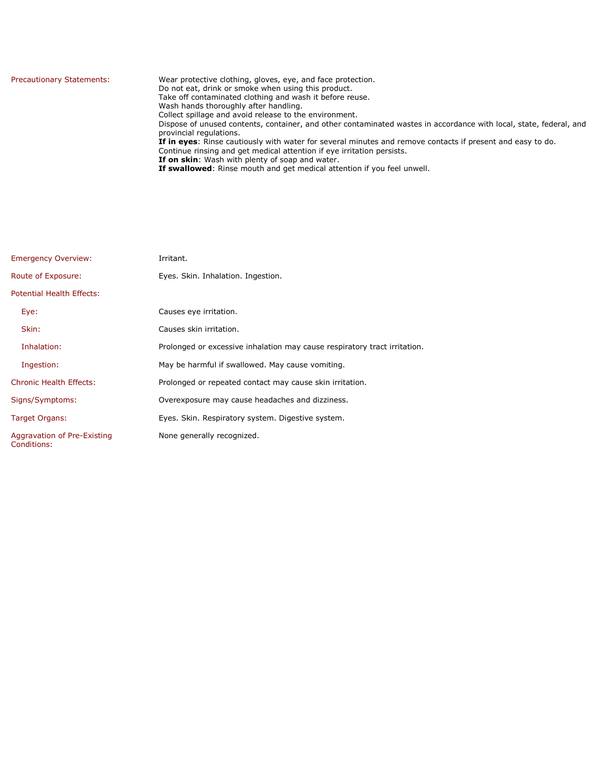| <b>Precautionary Statements:</b> | Wear protective clothing, gloves, eye, and face protection.<br>Do not eat, drink or smoke when using this product.<br>Take off contaminated clothing and wash it before reuse.<br>Wash hands thoroughly after handling.<br>Collect spillage and avoid release to the environment.<br>Dispose of unused contents, container, and other contaminated wastes in accordance with local, state, federal, and<br>provincial regulations.<br>If in eyes: Rinse cautiously with water for several minutes and remove contacts if present and easy to do.<br>Continue rinsing and get medical attention if eye irritation persists.<br>If on skin: Wash with plenty of soap and water.<br>If swallowed: Rinse mouth and get medical attention if you feel unwell. |
|----------------------------------|----------------------------------------------------------------------------------------------------------------------------------------------------------------------------------------------------------------------------------------------------------------------------------------------------------------------------------------------------------------------------------------------------------------------------------------------------------------------------------------------------------------------------------------------------------------------------------------------------------------------------------------------------------------------------------------------------------------------------------------------------------|
|----------------------------------|----------------------------------------------------------------------------------------------------------------------------------------------------------------------------------------------------------------------------------------------------------------------------------------------------------------------------------------------------------------------------------------------------------------------------------------------------------------------------------------------------------------------------------------------------------------------------------------------------------------------------------------------------------------------------------------------------------------------------------------------------------|

| <b>Emergency Overview:</b>                 | Irritant.                                                                 |
|--------------------------------------------|---------------------------------------------------------------------------|
| Route of Exposure:                         | Eyes. Skin. Inhalation. Ingestion.                                        |
| Potential Health Effects:                  |                                                                           |
| Eye:                                       | Causes eye irritation.                                                    |
| Skin:                                      | Causes skin irritation.                                                   |
| Inhalation:                                | Prolonged or excessive inhalation may cause respiratory tract irritation. |
| Ingestion:                                 | May be harmful if swallowed. May cause vomiting.                          |
| <b>Chronic Health Effects:</b>             | Prolonged or repeated contact may cause skin irritation.                  |
| Signs/Symptoms:                            | Overexposure may cause headaches and dizziness.                           |
| Target Organs:                             | Eyes. Skin. Respiratory system. Digestive system.                         |
| Aggravation of Pre-Existing<br>Conditions: | None generally recognized.                                                |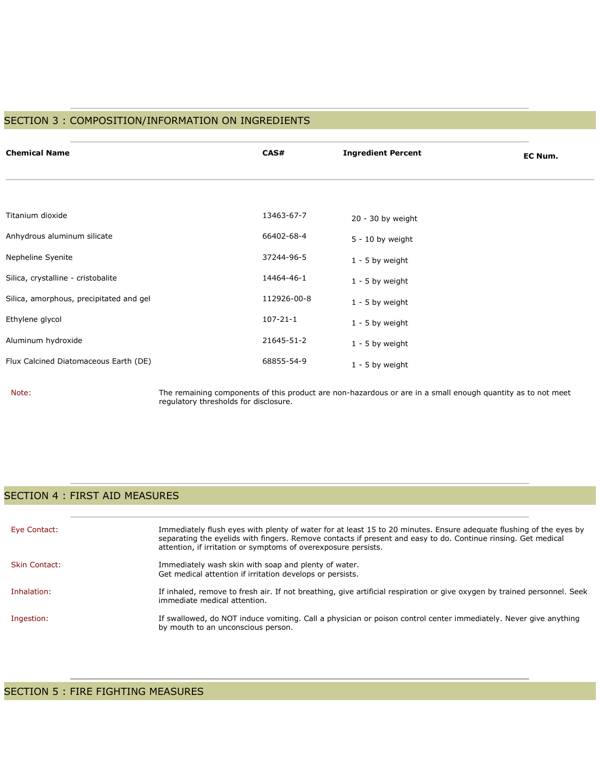## SECTION 3 : COMPOSITION/INFORMATION ON INGREDIENTS

| <b>Chemical Name</b>                    | CAS#           | <b>Ingredient Percent</b> | EC Num. |
|-----------------------------------------|----------------|---------------------------|---------|
|                                         |                |                           |         |
| Titanium dioxide                        | 13463-67-7     | $20 - 30$ by weight       |         |
| Anhydrous aluminum silicate             | 66402-68-4     | $5 - 10$ by weight        |         |
| Nepheline Syenite                       | 37244-96-5     | $1 - 5$ by weight         |         |
| Silica, crystalline - cristobalite      | 14464-46-1     | $1 - 5$ by weight         |         |
| Silica, amorphous, precipitated and gel | 112926-00-8    | $1 - 5$ by weight         |         |
| Ethylene glycol                         | $107 - 21 - 1$ | $1 - 5$ by weight         |         |
| Aluminum hydroxide                      | 21645-51-2     | $1 - 5$ by weight         |         |
| Flux Calcined Diatomaceous Earth (DE)   | 68855-54-9     | $1 - 5$ by weight         |         |

Note: The remaining components of this product are non-hazardous or are in a small enough quantity as to not meet regulatory thresholds for disclosure.

### SECTION 4 : FIRST AID MEASURES

| Eye Contact:         | Immediately flush eyes with plenty of water for at least 15 to 20 minutes. Ensure adequate flushing of the eyes by<br>separating the eyelids with fingers. Remove contacts if present and easy to do. Continue rinsing. Get medical<br>attention, if irritation or symptoms of overexposure persists. |
|----------------------|-------------------------------------------------------------------------------------------------------------------------------------------------------------------------------------------------------------------------------------------------------------------------------------------------------|
| <b>Skin Contact:</b> | Immediately wash skin with soap and plenty of water.<br>Get medical attention if irritation develops or persists.                                                                                                                                                                                     |
| Inhalation:          | If inhaled, remove to fresh air. If not breathing, give artificial respiration or give oxygen by trained personnel. Seek<br>immediate medical attention.                                                                                                                                              |
| Ingestion:           | If swallowed, do NOT induce vomiting. Call a physician or poison control center immediately. Never give anything<br>by mouth to an unconscious person.                                                                                                                                                |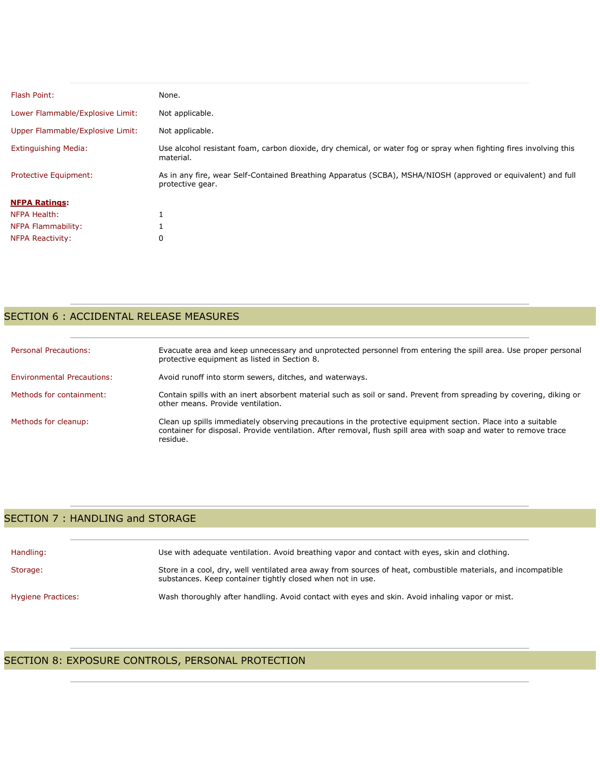| Flash Point:                     | None.                                                                                                                            |
|----------------------------------|----------------------------------------------------------------------------------------------------------------------------------|
| Lower Flammable/Explosive Limit: | Not applicable.                                                                                                                  |
| Upper Flammable/Explosive Limit: | Not applicable.                                                                                                                  |
| <b>Extinguishing Media:</b>      | Use alcohol resistant foam, carbon dioxide, dry chemical, or water fog or spray when fighting fires involving this<br>material.  |
| <b>Protective Equipment:</b>     | As in any fire, wear Self-Contained Breathing Apparatus (SCBA), MSHA/NIOSH (approved or equivalent) and full<br>protective gear. |
| <b>NFPA Ratings:</b>             |                                                                                                                                  |
| NFPA Health:                     |                                                                                                                                  |
| NFPA Flammability:               |                                                                                                                                  |
| <b>NFPA Reactivity:</b>          | 0                                                                                                                                |

# SECTION 6 : ACCIDENTAL RELEASE MEASURES

| <b>Personal Precautions:</b>      | Evacuate area and keep unnecessary and unprotected personnel from entering the spill area. Use proper personal<br>protective equipment as listed in Section 8.                                                                               |
|-----------------------------------|----------------------------------------------------------------------------------------------------------------------------------------------------------------------------------------------------------------------------------------------|
| <b>Environmental Precautions:</b> | Avoid runoff into storm sewers, ditches, and waterways.                                                                                                                                                                                      |
| Methods for containment:          | Contain spills with an inert absorbent material such as soil or sand. Prevent from spreading by covering, diking or<br>other means. Provide ventilation.                                                                                     |
| Methods for cleanup:              | Clean up spills immediately observing precautions in the protective equipment section. Place into a suitable<br>container for disposal. Provide ventilation. After removal, flush spill area with soap and water to remove trace<br>residue. |

## SECTION 7 : HANDLING and STORAGE

| Handling:          | Use with adequate ventilation. Avoid breathing vapor and contact with eyes, skin and clothing.                                                                              |
|--------------------|-----------------------------------------------------------------------------------------------------------------------------------------------------------------------------|
| Storage:           | Store in a cool, dry, well ventilated area away from sources of heat, combustible materials, and incompatible<br>substances. Keep container tightly closed when not in use. |
| Hygiene Practices: | Wash thoroughly after handling. Avoid contact with eyes and skin. Avoid inhaling vapor or mist.                                                                             |

# SECTION 8: EXPOSURE CONTROLS, PERSONAL PROTECTION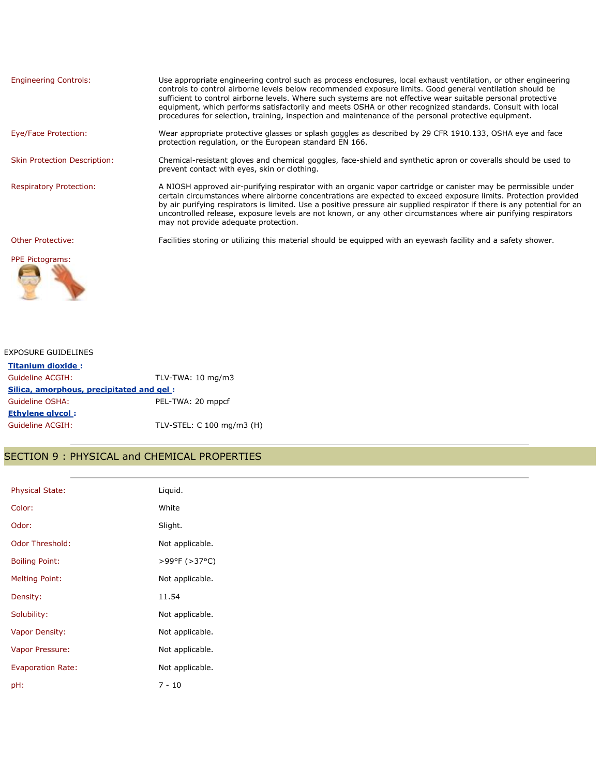| <b>Engineering Controls:</b>        | Use appropriate engineering control such as process enclosures, local exhaust ventilation, or other engineering<br>controls to control airborne levels below recommended exposure limits. Good general ventilation should be<br>sufficient to control airborne levels. Where such systems are not effective wear suitable personal protective<br>equipment, which performs satisfactorily and meets OSHA or other recognized standards. Consult with local<br>procedures for selection, training, inspection and maintenance of the personal protective equipment. |
|-------------------------------------|--------------------------------------------------------------------------------------------------------------------------------------------------------------------------------------------------------------------------------------------------------------------------------------------------------------------------------------------------------------------------------------------------------------------------------------------------------------------------------------------------------------------------------------------------------------------|
| Eye/Face Protection:                | Wear appropriate protective glasses or splash goggles as described by 29 CFR 1910.133, OSHA eye and face<br>protection regulation, or the European standard EN 166.                                                                                                                                                                                                                                                                                                                                                                                                |
| <b>Skin Protection Description:</b> | Chemical-resistant gloves and chemical goggles, face-shield and synthetic apron or coveralls should be used to<br>prevent contact with eyes, skin or clothing.                                                                                                                                                                                                                                                                                                                                                                                                     |
| <b>Respiratory Protection:</b>      | A NIOSH approved air-purifying respirator with an organic vapor cartridge or canister may be permissible under<br>certain circumstances where airborne concentrations are expected to exceed exposure limits. Protection provided<br>by air purifying respirators is limited. Use a positive pressure air supplied respirator if there is any potential for an<br>uncontrolled release, exposure levels are not known, or any other circumstances where air purifying respirators<br>may not provide adequate protection.                                          |
| Other Protective:                   | Facilities storing or utilizing this material should be equipped with an eyewash facility and a safety shower.                                                                                                                                                                                                                                                                                                                                                                                                                                                     |
| <b>PPE Pictograms:</b>              |                                                                                                                                                                                                                                                                                                                                                                                                                                                                                                                                                                    |

#### EXPOSURE GUIDELINES

ਕ

**Titanium dioxide :** Guideline ACGIH: TLV-TWA: 10 mg/m3 **Silica, amorphous, precipitated and gel :** Guideline OSHA: PEL-TWA: 20 mppcf **Ethylene glycol :** Guideline ACGIH: TLV-STEL: C 100 mg/m3 (H)

#### SECTION 9 : PHYSICAL and CHEMICAL PROPERTIES

| Physical State:          | Liquid.         |
|--------------------------|-----------------|
| Color:                   | White           |
| Odor:                    | Slight.         |
| Odor Threshold:          | Not applicable. |
| <b>Boiling Point:</b>    | >99°F (>37°C)   |
| <b>Melting Point:</b>    | Not applicable. |
| Density:                 | 11.54           |
| Solubility:              | Not applicable. |
| Vapor Density:           | Not applicable. |
| Vapor Pressure:          | Not applicable. |
| <b>Evaporation Rate:</b> | Not applicable. |
| pH:                      | $7 - 10$        |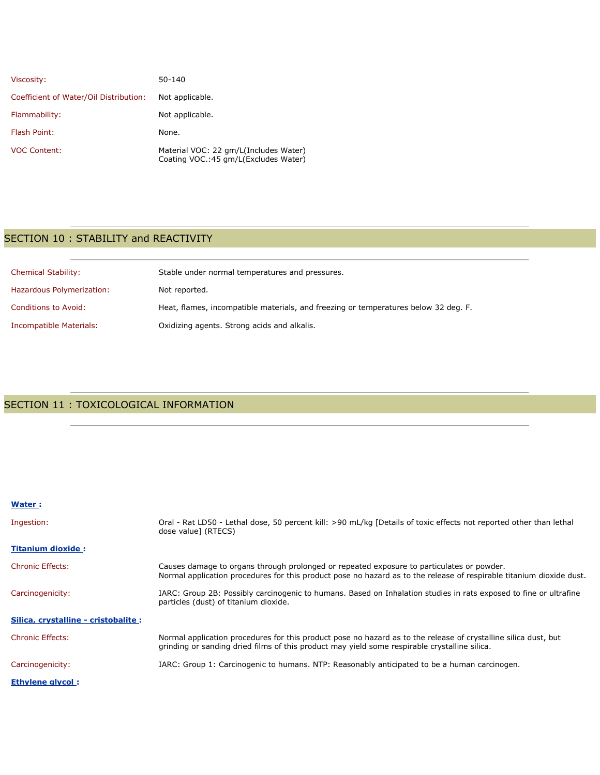| Viscosity:                             | 50-140                                                                         |
|----------------------------------------|--------------------------------------------------------------------------------|
| Coefficient of Water/Oil Distribution: | Not applicable.                                                                |
| Flammability:                          | Not applicable.                                                                |
| Flash Point:                           | None.                                                                          |
| <b>VOC Content:</b>                    | Material VOC: 22 gm/L(Includes Water)<br>Coating VOC.: 45 gm/L(Excludes Water) |

# SECTION 10 : STABILITY and REACTIVITY

| <b>Chemical Stability:</b> | Stable under normal temperatures and pressures.                                     |
|----------------------------|-------------------------------------------------------------------------------------|
| Hazardous Polymerization:  | Not reported.                                                                       |
| Conditions to Avoid:       | Heat, flames, incompatible materials, and freezing or temperatures below 32 deg. F. |
| Incompatible Materials:    | Oxidizing agents. Strong acids and alkalis.                                         |

# SECTION 11 : TOXICOLOGICAL INFORMATION

#### **Water :**

| Ingestion:                           | Oral - Rat LD50 - Lethal dose, 50 percent kill: >90 mL/kg [Details of toxic effects not reported other than lethal<br>dose value] (RTECS)                                                                         |
|--------------------------------------|-------------------------------------------------------------------------------------------------------------------------------------------------------------------------------------------------------------------|
| <b>Titanium dioxide:</b>             |                                                                                                                                                                                                                   |
| <b>Chronic Effects:</b>              | Causes damage to organs through prolonged or repeated exposure to particulates or powder.<br>Normal application procedures for this product pose no hazard as to the release of respirable titanium dioxide dust. |
| Carcinogenicity:                     | IARC: Group 2B: Possibly carcinogenic to humans. Based on Inhalation studies in rats exposed to fine or ultrafine<br>particles (dust) of titanium dioxide.                                                        |
| Silica, crystalline - cristobalite : |                                                                                                                                                                                                                   |
| <b>Chronic Effects:</b>              | Normal application procedures for this product pose no hazard as to the release of crystalline silica dust, but<br>grinding or sanding dried films of this product may yield some respirable crystalline silica.  |
| Carcinogenicity:                     | IARC: Group 1: Carcinogenic to humans. NTP: Reasonably anticipated to be a human carcinogen.                                                                                                                      |
| <b>Ethylene glycol:</b>              |                                                                                                                                                                                                                   |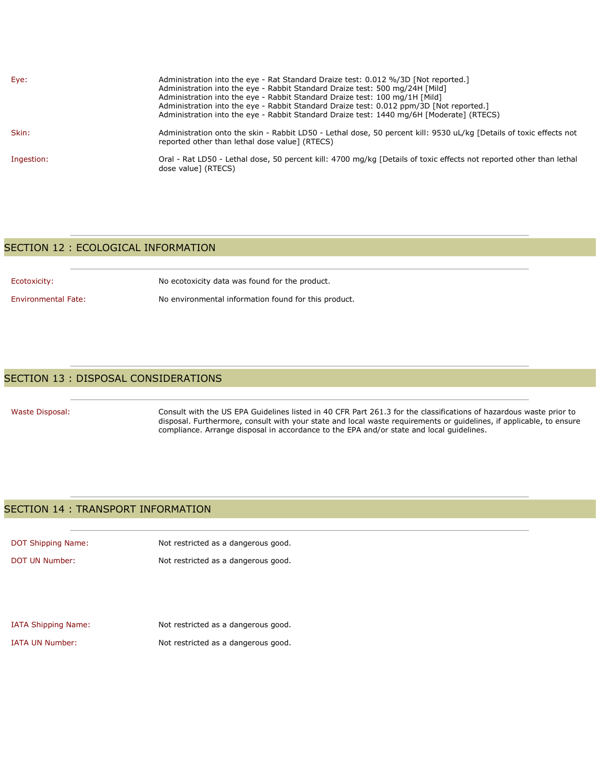| Eye:       | Administration into the eye - Rat Standard Draize test: 0.012 %/3D [Not reported.]<br>Administration into the eye - Rabbit Standard Draize test: 500 mg/24H [Mild]<br>Administration into the eye - Rabbit Standard Draize test: 100 mg/1H [Mild]<br>Administration into the eye - Rabbit Standard Draize test: 0.012 ppm/3D [Not reported.]<br>Administration into the eye - Rabbit Standard Draize test: 1440 mg/6H [Moderate] (RTECS) |
|------------|------------------------------------------------------------------------------------------------------------------------------------------------------------------------------------------------------------------------------------------------------------------------------------------------------------------------------------------------------------------------------------------------------------------------------------------|
| Skin:      | Administration onto the skin - Rabbit LD50 - Lethal dose, 50 percent kill: 9530 uL/kg [Details of toxic effects not<br>reported other than lethal dose value] (RTECS)                                                                                                                                                                                                                                                                    |
| Ingestion: | Oral - Rat LD50 - Lethal dose, 50 percent kill: 4700 mg/kg [Details of toxic effects not reported other than lethal<br>dose value] (RTECS)                                                                                                                                                                                                                                                                                               |

#### SECTION 12 : ECOLOGICAL INFORMATION

Ecotoxicity: No ecotoxicity data was found for the product.

Environmental Fate: No environmental information found for this product.

#### SECTION 13 : DISPOSAL CONSIDERATIONS

Waste Disposal: Consult with the US EPA Guidelines listed in 40 CFR Part 261.3 for the classifications of hazardous waste prior to disposal. Furthermore, consult with your state and local waste requirements or guidelines, if applicable, to ensure compliance. Arrange disposal in accordance to the EPA and/or state and local guidelines.

#### SECTION 14 : TRANSPORT INFORMATION

| DOT Shipping Name: | Not restricted as a dangerous good. |
|--------------------|-------------------------------------|
| DOT UN Number:     | Not restricted as a dangerous good. |

| <b>IATA Shipping Name:</b> | Not restricted as a dangerous good. |
|----------------------------|-------------------------------------|
| IATA UN Number:            | Not restricted as a dangerous good. |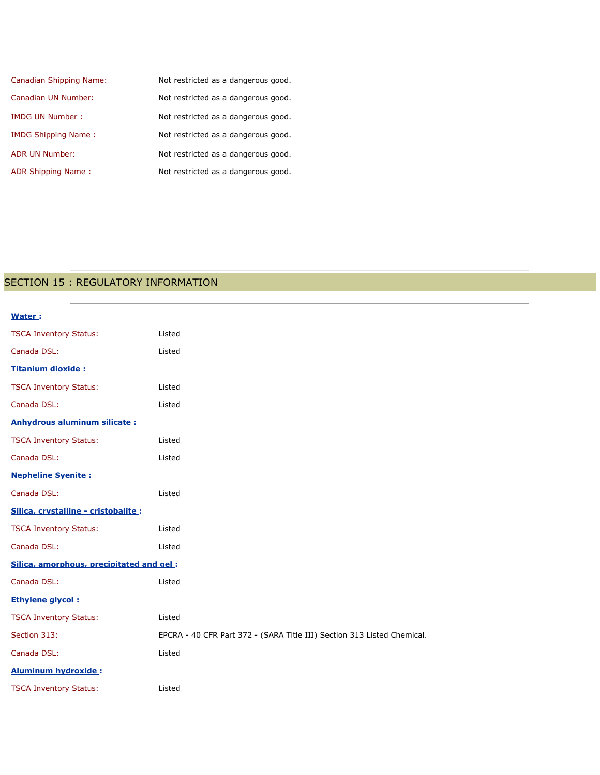| Canadian Shipping Name:    | Not restricted as a dangerous good. |
|----------------------------|-------------------------------------|
| Canadian UN Number:        | Not restricted as a dangerous good. |
| <b>IMDG UN Number:</b>     | Not restricted as a dangerous good. |
| <b>IMDG Shipping Name:</b> | Not restricted as a dangerous good. |
| <b>ADR UN Number:</b>      | Not restricted as a dangerous good. |
| ADR Shipping Name:         | Not restricted as a dangerous good. |

# SECTION 15 : REGULATORY INFORMATION

| Water:                                   |                                                                         |
|------------------------------------------|-------------------------------------------------------------------------|
| <b>TSCA Inventory Status:</b>            | Listed                                                                  |
| Canada DSL:                              | Listed                                                                  |
| Titanium dioxide:                        |                                                                         |
| <b>TSCA Inventory Status:</b>            | Listed                                                                  |
| Canada DSL:                              | Listed                                                                  |
| <b>Anhydrous aluminum silicate:</b>      |                                                                         |
| <b>TSCA Inventory Status:</b>            | Listed                                                                  |
| Canada DSL:                              | Listed                                                                  |
| <b>Nepheline Syenite:</b>                |                                                                         |
| Canada DSL:                              | Listed                                                                  |
| Silica, crystalline - cristobalite :     |                                                                         |
| <b>TSCA Inventory Status:</b>            | Listed                                                                  |
| Canada DSL:                              | Listed                                                                  |
| Silica, amorphous, precipitated and gel: |                                                                         |
| Canada DSL:                              | Listed                                                                  |
| <b>Ethylene glycol:</b>                  |                                                                         |
| <b>TSCA Inventory Status:</b>            | Listed                                                                  |
| Section 313:                             | EPCRA - 40 CFR Part 372 - (SARA Title III) Section 313 Listed Chemical. |
| Canada DSL:                              | Listed                                                                  |
| <b>Aluminum hydroxide:</b>               |                                                                         |
| <b>TSCA Inventory Status:</b>            | Listed                                                                  |